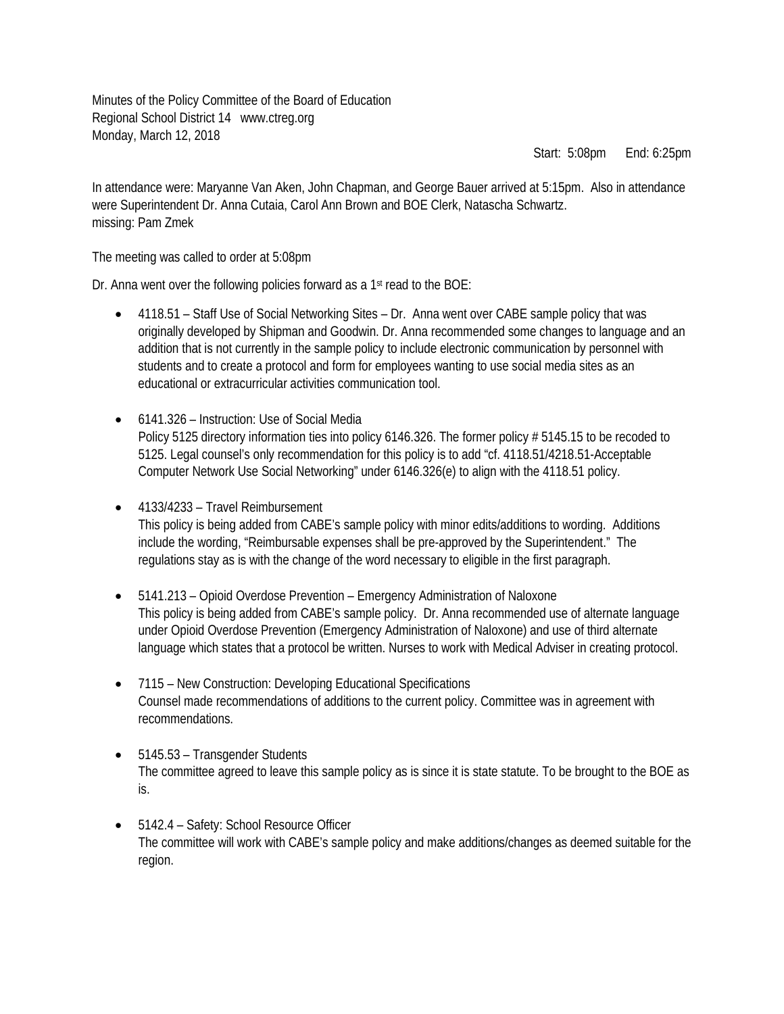Minutes of the Policy Committee of the Board of Education Regional School District 14 www.ctreg.org Monday, March 12, 2018

Start: 5:08pm End: 6:25pm

In attendance were: Maryanne Van Aken, John Chapman, and George Bauer arrived at 5:15pm. Also in attendance were Superintendent Dr. Anna Cutaia, Carol Ann Brown and BOE Clerk, Natascha Schwartz. missing: Pam Zmek

The meeting was called to order at 5:08pm

Dr. Anna went over the following policies forward as a 1<sup>st</sup> read to the BOE:

- 4118.51 Staff Use of Social Networking Sites Dr. Anna went over CABE sample policy that was originally developed by Shipman and Goodwin. Dr. Anna recommended some changes to language and an addition that is not currently in the sample policy to include electronic communication by personnel with students and to create a protocol and form for employees wanting to use social media sites as an educational or extracurricular activities communication tool.
- 6141.326 Instruction: Use of Social Media Policy 5125 directory information ties into policy 6146.326. The former policy # 5145.15 to be recoded to 5125. Legal counsel's only recommendation for this policy is to add "cf. 4118.51/4218.51-Acceptable Computer Network Use Social Networking" under 6146.326(e) to align with the 4118.51 policy.
- 4133/4233 Travel Reimbursement This policy is being added from CABE's sample policy with minor edits/additions to wording. Additions include the wording, "Reimbursable expenses shall be pre-approved by the Superintendent." The regulations stay as is with the change of the word necessary to eligible in the first paragraph.
- 5141.213 Opioid Overdose Prevention Emergency Administration of Naloxone This policy is being added from CABE's sample policy. Dr. Anna recommended use of alternate language under Opioid Overdose Prevention (Emergency Administration of Naloxone) and use of third alternate language which states that a protocol be written. Nurses to work with Medical Adviser in creating protocol.
- 7115 New Construction: Developing Educational Specifications Counsel made recommendations of additions to the current policy. Committee was in agreement with recommendations.
- 5145.53 Transgender Students The committee agreed to leave this sample policy as is since it is state statute. To be brought to the BOE as is.
- 5142.4 Safety: School Resource Officer The committee will work with CABE's sample policy and make additions/changes as deemed suitable for the region.